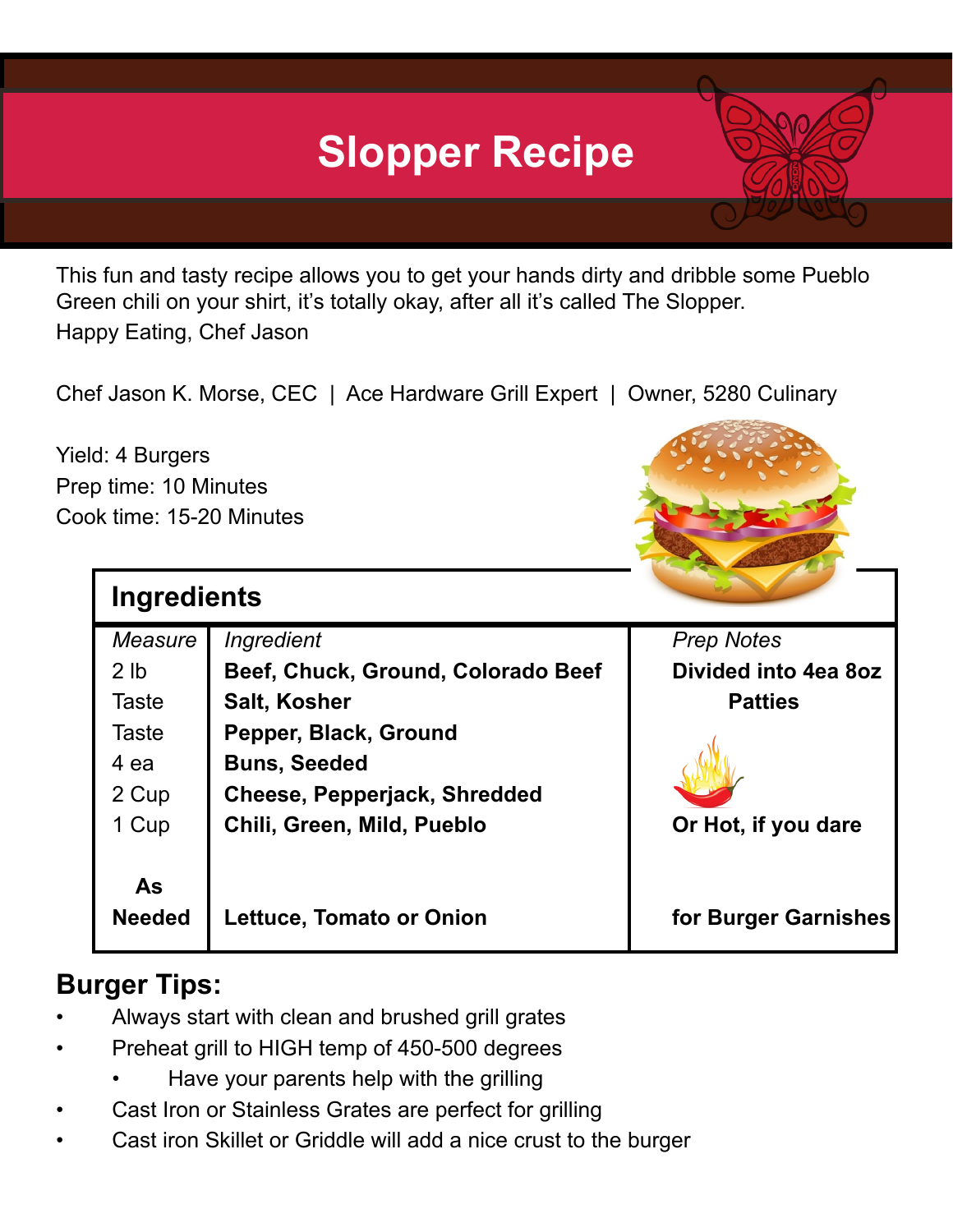## **Slopper Recipe**

This fun and tasty recipe allows you to get your hands dirty and dribble some Pueblo Green chili on your shirt, it's totally okay, after all it's called The Slopper. Happy Eating, Chef Jason

Chef Jason K. Morse, CEC | Ace Hardware Grill Expert | Owner, 5280 Culinary

Yield: 4 Burgers Prep time: 10 Minutes Cook time: 15-20 Minutes

| <b>Ingredients</b> |                                     |                      |
|--------------------|-------------------------------------|----------------------|
| Measure            | Ingredient                          | <b>Prep Notes</b>    |
| 2 <sub>1b</sub>    | Beef, Chuck, Ground, Colorado Beef  | Divided into 4ea 8oz |
| <b>Taste</b>       | <b>Salt, Kosher</b>                 | <b>Patties</b>       |
| <b>Taste</b>       | Pepper, Black, Ground               |                      |
| 4 ea               | <b>Buns, Seeded</b>                 |                      |
| 2 Cup              | <b>Cheese, Pepperjack, Shredded</b> |                      |
| 1 Cup              | Chili, Green, Mild, Pueblo          | Or Hot, if you dare  |
|                    |                                     |                      |
| <b>As</b>          |                                     |                      |
| <b>Needed</b>      | <b>Lettuce, Tomato or Onion</b>     | for Burger Garnishes |
|                    |                                     |                      |

## **Burger Tips:**

- Always start with clean and brushed grill grates
- Preheat grill to HIGH temp of 450-500 degrees
	- Have your parents help with the grilling
- Cast Iron or Stainless Grates are perfect for grilling
- Cast iron Skillet or Griddle will add a nice crust to the burger